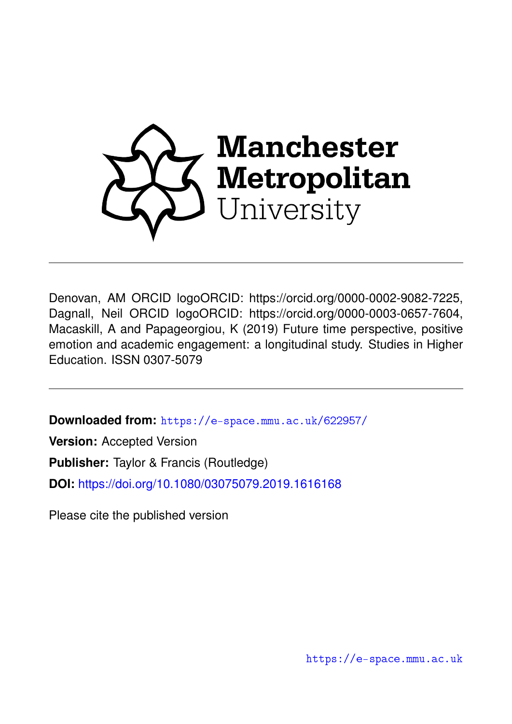

Denovan, AM ORCID logoORCID: https://orcid.org/0000-0002-9082-7225, Dagnall, Neil ORCID logoORCID: https://orcid.org/0000-0003-0657-7604, Macaskill, A and Papageorgiou, K (2019) Future time perspective, positive emotion and academic engagement: a longitudinal study. Studies in Higher Education. ISSN 0307-5079

**Downloaded from:** <https://e-space.mmu.ac.uk/622957/>

**Version:** Accepted Version

**Publisher:** Taylor & Francis (Routledge)

**DOI:** <https://doi.org/10.1080/03075079.2019.1616168>

Please cite the published version

<https://e-space.mmu.ac.uk>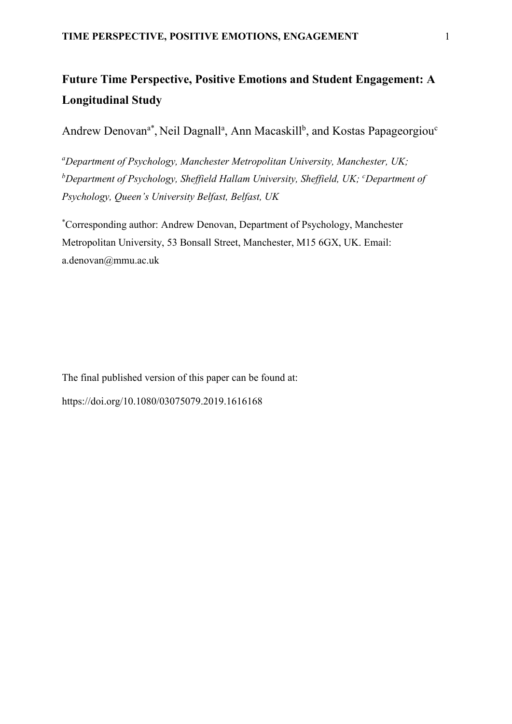# **Future Time Perspective, Positive Emotions and Student Engagement: A Longitudinal Study**

Andrew Denovan<sup>a\*</sup>, Neil Dagnall<sup>a</sup>, Ann Macaskill<sup>b</sup>, and Kostas Papageorgiou<sup>c</sup>

*<sup>a</sup>Department of Psychology, Manchester Metropolitan University, Manchester, UK; <sup>b</sup>Department of Psychology, Sheffield Hallam University, Sheffield, UK; <sup>c</sup>Department of Psychology, Queen's University Belfast, Belfast, UK*

\*Corresponding author: Andrew Denovan, Department of Psychology, Manchester Metropolitan University, 53 Bonsall Street, Manchester, M15 6GX, UK. Email: [a.denovan@mmu.ac.uk](mailto:a.denovan@mmu.ac.uk)

The final published version of this paper can be found at: https://doi.org/10.1080/03075079.2019.1616168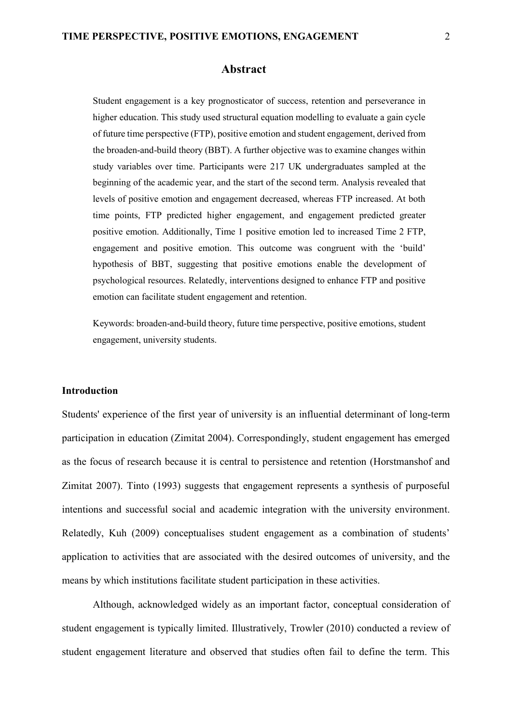#### **Abstract**

Student engagement is a key prognosticator of success, retention and perseverance in higher education. This study used structural equation modelling to evaluate a gain cycle of future time perspective (FTP), positive emotion and student engagement, derived from the broaden-and-build theory (BBT). A further objective was to examine changes within study variables over time. Participants were 217 UK undergraduates sampled at the beginning of the academic year, and the start of the second term. Analysis revealed that levels of positive emotion and engagement decreased, whereas FTP increased. At both time points, FTP predicted higher engagement, and engagement predicted greater positive emotion. Additionally, Time 1 positive emotion led to increased Time 2 FTP, engagement and positive emotion. This outcome was congruent with the 'build' hypothesis of BBT, suggesting that positive emotions enable the development of psychological resources. Relatedly, interventions designed to enhance FTP and positive emotion can facilitate student engagement and retention.

Keywords: broaden-and-build theory, future time perspective, positive emotions, student engagement, university students.

## **Introduction**

Students' experience of the first year of university is an influential determinant of long-term participation in education (Zimitat 2004). Correspondingly, student engagement has emerged as the focus of research because it is central to persistence and retention (Horstmanshof and Zimitat 2007). Tinto (1993) suggests that engagement represents a synthesis of purposeful intentions and successful social and academic integration with the university environment. Relatedly, Kuh (2009) conceptualises student engagement as a combination of students' application to activities that are associated with the desired outcomes of university, and the means by which institutions facilitate student participation in these activities.

Although, acknowledged widely as an important factor, conceptual consideration of student engagement is typically limited. Illustratively, Trowler (2010) conducted a review of student engagement literature and observed that studies often fail to define the term. This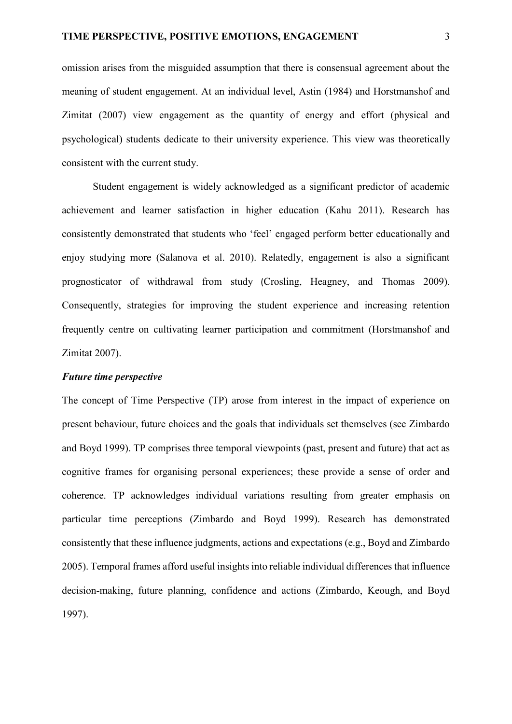omission arises from the misguided assumption that there is consensual agreement about the meaning of student engagement. At an individual level, Astin (1984) and Horstmanshof and Zimitat (2007) view engagement as the quantity of energy and effort (physical and psychological) students dedicate to their university experience. This view was theoretically consistent with the current study.

Student engagement is widely acknowledged as a significant predictor of academic achievement and learner satisfaction in higher education (Kahu 2011). Research has consistently demonstrated that students who 'feel' engaged perform better educationally and enjoy studying more (Salanova et al. 2010). Relatedly, engagement is also a significant prognosticator of withdrawal from study (Crosling, Heagney, and Thomas 2009). Consequently, strategies for improving the student experience and increasing retention frequently centre on cultivating learner participation and commitment (Horstmanshof and Zimitat 2007).

## *Future time perspective*

The concept of Time Perspective (TP) arose from interest in the impact of experience on present behaviour, future choices and the goals that individuals set themselves (see Zimbardo and Boyd 1999). TP comprises three temporal viewpoints (past, present and future) that act as cognitive frames for organising personal experiences; these provide a sense of order and coherence. TP acknowledges individual variations resulting from greater emphasis on particular time perceptions (Zimbardo and Boyd 1999). Research has demonstrated consistently that these influence judgments, actions and expectations (e.g., Boyd and Zimbardo 2005). Temporal frames afford useful insights into reliable individual differences that influence decision-making, future planning, confidence and actions (Zimbardo, Keough, and Boyd 1997).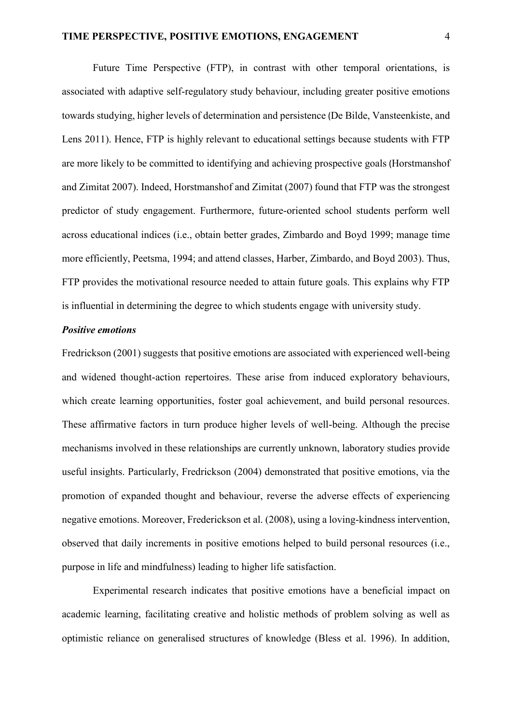Future Time Perspective (FTP), in contrast with other temporal orientations, is associated with adaptive self-regulatory study behaviour, including greater positive emotions towards studying, higher levels of determination and persistence (De Bilde, Vansteenkiste, and Lens 2011). Hence, FTP is highly relevant to educational settings because students with FTP are more likely to be committed to identifying and achieving prospective goals (Horstmanshof and Zimitat 2007). Indeed, Horstmanshof and Zimitat (2007) found that FTP was the strongest predictor of study engagement. Furthermore, future-oriented school students perform well across educational indices (i.e., obtain better grades, Zimbardo and Boyd 1999; manage time more efficiently, Peetsma, 1994; and attend classes, Harber, Zimbardo, and Boyd 2003). Thus, FTP provides the motivational resource needed to attain future goals. This explains why FTP is influential in determining the degree to which students engage with university study.

## *Positive emotions*

Fredrickson (2001) suggests that positive emotions are associated with experienced well-being and widened thought-action repertoires. These arise from induced exploratory behaviours, which create learning opportunities, foster goal achievement, and build personal resources. These affirmative factors in turn produce higher levels of well-being. Although the precise mechanisms involved in these relationships are currently unknown, laboratory studies provide useful insights. Particularly, Fredrickson (2004) demonstrated that positive emotions, via the promotion of expanded thought and behaviour, reverse the adverse effects of experiencing negative emotions. Moreover, Frederickson et al. (2008), using a loving-kindness intervention, observed that daily increments in positive emotions helped to build personal resources (i.e., purpose in life and mindfulness) leading to higher life satisfaction.

Experimental research indicates that positive emotions have a beneficial impact on academic learning, facilitating creative and holistic methods of problem solving as well as optimistic reliance on generalised structures of knowledge (Bless et al. 1996). In addition,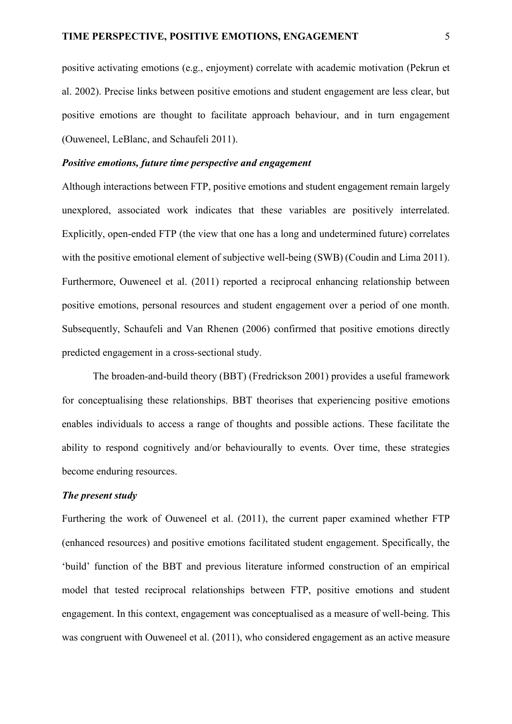positive activating emotions (e.g., enjoyment) correlate with academic motivation (Pekrun et al. 2002). Precise links between positive emotions and student engagement are less clear, but positive emotions are thought to facilitate approach behaviour, and in turn engagement (Ouweneel, LeBlanc, and Schaufeli 2011).

## *Positive emotions, future time perspective and engagement*

Although interactions between FTP, positive emotions and student engagement remain largely unexplored, associated work indicates that these variables are positively interrelated. Explicitly, open-ended FTP (the view that one has a long and undetermined future) correlates with the positive emotional element of subjective well-being (SWB) (Coudin and Lima 2011). Furthermore, Ouweneel et al. (2011) reported a reciprocal enhancing relationship between positive emotions, personal resources and student engagement over a period of one month. Subsequently, Schaufeli and Van Rhenen (2006) confirmed that positive emotions directly predicted engagement in a cross-sectional study.

The broaden-and-build theory (BBT) (Fredrickson 2001) provides a useful framework for conceptualising these relationships. BBT theorises that experiencing positive emotions enables individuals to access a range of thoughts and possible actions. These facilitate the ability to respond cognitively and/or behaviourally to events. Over time, these strategies become enduring resources.

## *The present study*

Furthering the work of Ouweneel et al. (2011), the current paper examined whether FTP (enhanced resources) and positive emotions facilitated student engagement. Specifically, the 'build' function of the BBT and previous literature informed construction of an empirical model that tested reciprocal relationships between FTP, positive emotions and student engagement. In this context, engagement was conceptualised as a measure of well-being. This was congruent with Ouweneel et al. (2011), who considered engagement as an active measure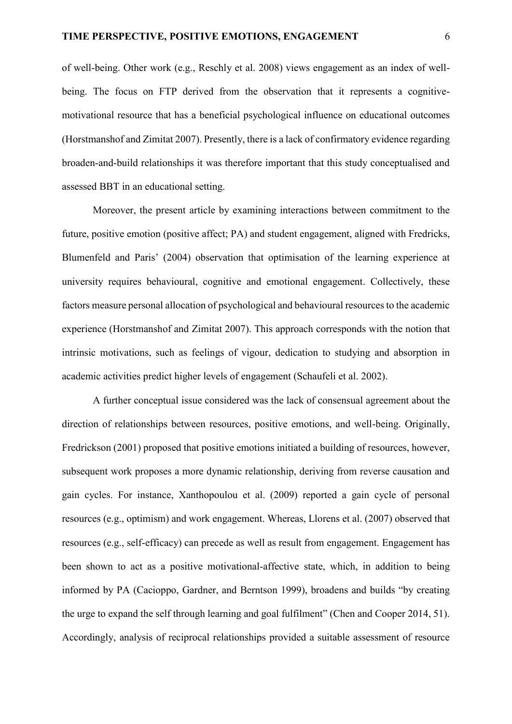of well-being. Other work (e.g., Reschly et al. 2008) views engagement as an index of wellbeing. The focus on FTP derived from the observation that it represents a cognitivemotivational resource that has a beneficial psychological influence on educational outcomes (Horstmanshof and Zimitat 2007). Presently, there is a lack of confirmatory evidence regarding broaden-and-build relationships it was therefore important that this study conceptualised and assessed BBT in an educational setting.

Moreover, the present article by examining interactions between commitment to the future, positive emotion (positive affect; PA) and student engagement, aligned with Fredricks, Blumenfeld and Paris' (2004) observation that optimisation of the learning experience at university requires behavioural, cognitive and emotional engagement. Collectively, these factors measure personal allocation of psychological and behavioural resources to the academic experience (Horstmanshof and Zimitat 2007). This approach corresponds with the notion that intrinsic motivations, such as feelings of vigour, dedication to studying and absorption in academic activities predict higher levels of engagement (Schaufeli et al. 2002).

A further conceptual issue considered was the lack of consensual agreement about the direction of relationships between resources, positive emotions, and well-being. Originally, Fredrickson (2001) proposed that positive emotions initiated a building of resources, however, subsequent work proposes a more dynamic relationship, deriving from reverse causation and gain cycles. For instance, Xanthopoulou et al. (2009) reported a gain cycle of personal resources (e.g., optimism) and work engagement. Whereas, Llorens et al. (2007) observed that resources (e.g., self-efficacy) can precede as well as result from engagement. Engagement has been shown to act as a positive motivational-affective state, which, in addition to being informed by PA (Cacioppo, Gardner, and Berntson 1999), broadens and builds "by creating the urge to expand the self through learning and goal fulfilment" (Chen and Cooper 2014, 51). Accordingly, analysis of reciprocal relationships provided a suitable assessment of resource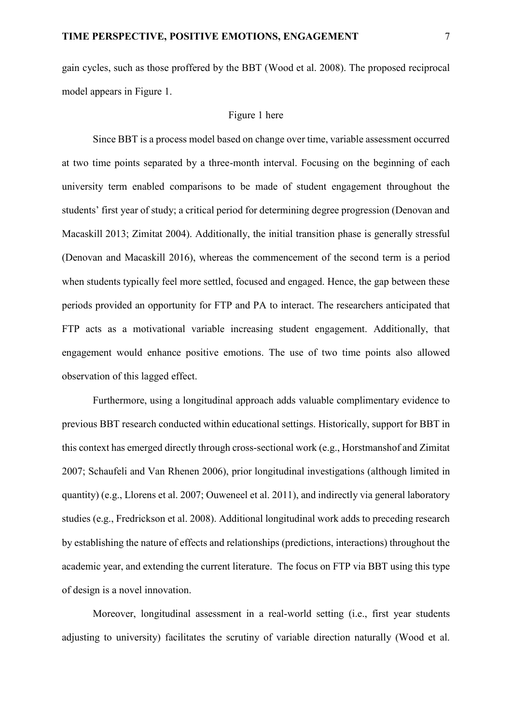gain cycles, such as those proffered by the BBT (Wood et al. 2008). The proposed reciprocal model appears in Figure 1.

#### Figure 1 here

Since BBT is a process model based on change over time, variable assessment occurred at two time points separated by a three-month interval. Focusing on the beginning of each university term enabled comparisons to be made of student engagement throughout the students' first year of study; a critical period for determining degree progression (Denovan and Macaskill 2013; Zimitat 2004). Additionally, the initial transition phase is generally stressful (Denovan and Macaskill 2016), whereas the commencement of the second term is a period when students typically feel more settled, focused and engaged. Hence, the gap between these periods provided an opportunity for FTP and PA to interact. The researchers anticipated that FTP acts as a motivational variable increasing student engagement. Additionally, that engagement would enhance positive emotions. The use of two time points also allowed observation of this lagged effect.

Furthermore, using a longitudinal approach adds valuable complimentary evidence to previous BBT research conducted within educational settings. Historically, support for BBT in this context has emerged directly through cross-sectional work (e.g., Horstmanshof and Zimitat 2007; Schaufeli and Van Rhenen 2006), prior longitudinal investigations (although limited in quantity) (e.g., Llorens et al. 2007; Ouweneel et al. 2011), and indirectly via general laboratory studies (e.g., Fredrickson et al. 2008). Additional longitudinal work adds to preceding research by establishing the nature of effects and relationships (predictions, interactions) throughout the academic year, and extending the current literature. The focus on FTP via BBT using this type of design is a novel innovation.

Moreover, longitudinal assessment in a real-world setting (i.e., first year students adjusting to university) facilitates the scrutiny of variable direction naturally (Wood et al.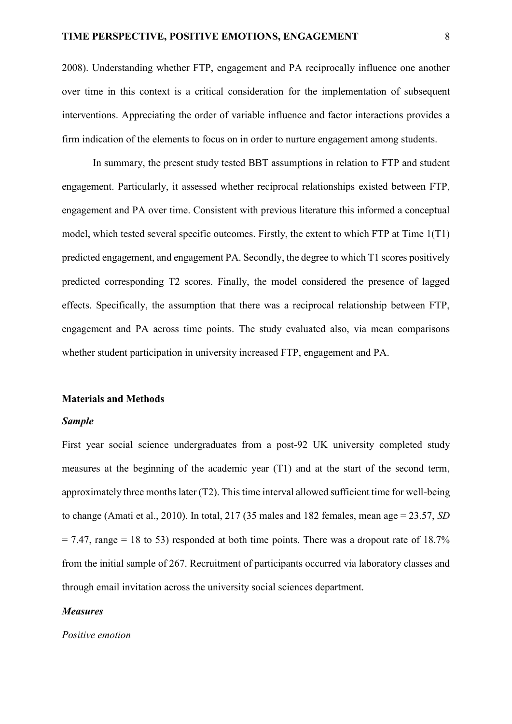2008). Understanding whether FTP, engagement and PA reciprocally influence one another over time in this context is a critical consideration for the implementation of subsequent interventions. Appreciating the order of variable influence and factor interactions provides a firm indication of the elements to focus on in order to nurture engagement among students.

In summary, the present study tested BBT assumptions in relation to FTP and student engagement. Particularly, it assessed whether reciprocal relationships existed between FTP, engagement and PA over time. Consistent with previous literature this informed a conceptual model, which tested several specific outcomes. Firstly, the extent to which FTP at Time 1(T1) predicted engagement, and engagement PA. Secondly, the degree to which T1 scores positively predicted corresponding T2 scores. Finally, the model considered the presence of lagged effects. Specifically, the assumption that there was a reciprocal relationship between FTP, engagement and PA across time points. The study evaluated also, via mean comparisons whether student participation in university increased FTP, engagement and PA.

#### **Materials and Methods**

#### *Sample*

First year social science undergraduates from a post-92 UK university completed study measures at the beginning of the academic year (T1) and at the start of the second term, approximately three months later  $(T2)$ . This time interval allowed sufficient time for well-being to change (Amati et al., 2010). In total, 217 (35 males and 182 females, mean age = 23.57, *SD*  $= 7.47$ , range  $= 18$  to 53) responded at both time points. There was a dropout rate of 18.7% from the initial sample of 267. Recruitment of participants occurred via laboratory classes and through email invitation across the university social sciences department.

#### *Measures*

*Positive emotion*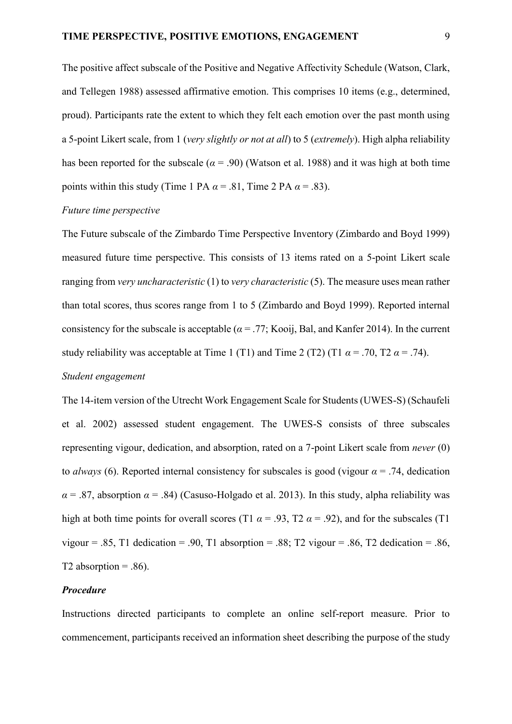The positive affect subscale of the Positive and Negative Affectivity Schedule (Watson, Clark, and Tellegen 1988) assessed affirmative emotion. This comprises 10 items (e.g., determined, proud). Participants rate the extent to which they felt each emotion over the past month using a 5-point Likert scale, from 1 (*very slightly or not at all*) to 5 (*extremely*). High alpha reliability has been reported for the subscale ( $\alpha$  = .90) (Watson et al. 1988) and it was high at both time points within this study (Time 1 PA  $\alpha$  = .81, Time 2 PA  $\alpha$  = .83).

#### *Future time perspective*

The Future subscale of the Zimbardo Time Perspective Inventory (Zimbardo and Boyd 1999) measured future time perspective. This consists of 13 items rated on a 5-point Likert scale ranging from *very uncharacteristic* (1) to *very characteristic* (5). The measure uses mean rather than total scores, thus scores range from 1 to 5 (Zimbardo and Boyd 1999). Reported internal consistency for the subscale is acceptable ( $\alpha$  = .77; Kooij, Bal, and Kanfer 2014). In the current study reliability was acceptable at Time 1 (T1) and Time 2 (T2) (T1  $\alpha$  = .70, T2  $\alpha$  = .74).

# *Student engagement*

The 14-item version of the Utrecht Work Engagement Scale for Students (UWES-S) (Schaufeli et al. 2002) assessed student engagement. The UWES-S consists of three subscales representing vigour, dedication, and absorption, rated on a 7-point Likert scale from *never* (0) to *always* (6). Reported internal consistency for subscales is good (vigour  $\alpha$  = .74, dedication  $\alpha$  = .87, absorption  $\alpha$  = .84) (Casuso-Holgado et al. 2013). In this study, alpha reliability was high at both time points for overall scores (T1  $\alpha$  = .93, T2  $\alpha$  = .92), and for the subscales (T1 vigour = .85, T1 dedication = .90, T1 absorption = .88; T2 vigour = .86, T2 dedication = .86, T2 absorption  $= .86$ ).

## *Procedure*

Instructions directed participants to complete an online self-report measure. Prior to commencement, participants received an information sheet describing the purpose of the study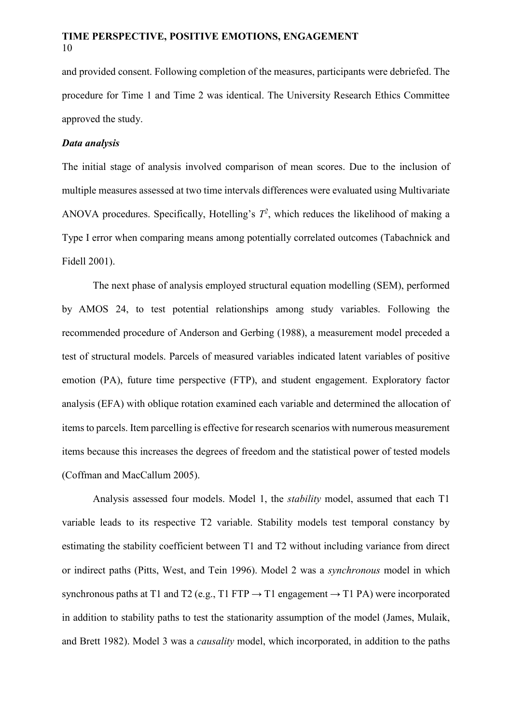and provided consent. Following completion of the measures, participants were debriefed. The procedure for Time 1 and Time 2 was identical. The University Research Ethics Committee approved the study.

## *Data analysis*

The initial stage of analysis involved comparison of mean scores. Due to the inclusion of multiple measures assessed at two time intervals differences were evaluated using Multivariate ANOVA procedures. Specifically, Hotelling's  $T^2$ , which reduces the likelihood of making a Type I error when comparing means among potentially correlated outcomes (Tabachnick and Fidell 2001).

The next phase of analysis employed structural equation modelling (SEM), performed by AMOS 24, to test potential relationships among study variables. Following the recommended procedure of Anderson and Gerbing (1988), a measurement model preceded a test of structural models. Parcels of measured variables indicated latent variables of positive emotion (PA), future time perspective (FTP), and student engagement. Exploratory factor analysis (EFA) with oblique rotation examined each variable and determined the allocation of items to parcels. Item parcelling is effective for research scenarios with numerous measurement items because this increases the degrees of freedom and the statistical power of tested models (Coffman and MacCallum 2005).

Analysis assessed four models. Model 1, the *stability* model, assumed that each T1 variable leads to its respective T2 variable. Stability models test temporal constancy by estimating the stability coefficient between T1 and T2 without including variance from direct or indirect paths (Pitts, West, and Tein 1996). Model 2 was a *synchronous* model in which synchronous paths at T1 and T2 (e.g., T1 FTP  $\rightarrow$  T1 engagement  $\rightarrow$  T1 PA) were incorporated in addition to stability paths to test the stationarity assumption of the model (James, Mulaik, and Brett 1982). Model 3 was a *causality* model, which incorporated, in addition to the paths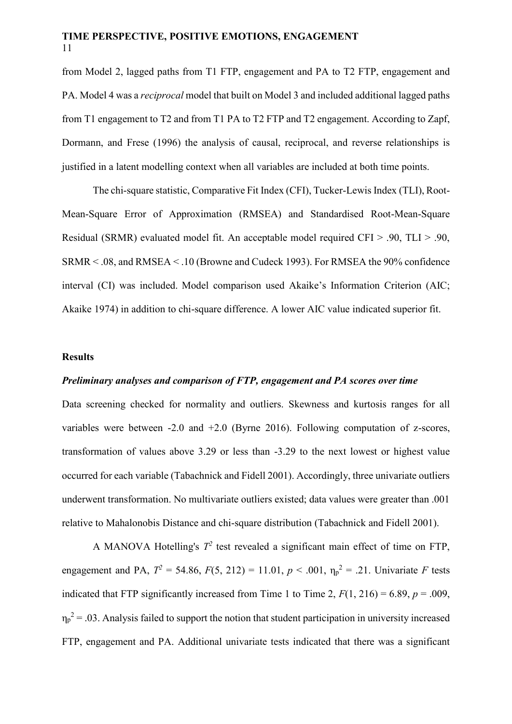from Model 2, lagged paths from T1 FTP, engagement and PA to T2 FTP, engagement and PA. Model 4 was a *reciprocal* model that built on Model 3 and included additional lagged paths from T1 engagement to T2 and from T1 PA to T2 FTP and T2 engagement. According to Zapf, Dormann, and Frese (1996) the analysis of causal, reciprocal, and reverse relationships is justified in a latent modelling context when all variables are included at both time points.

The chi-square statistic, Comparative Fit Index (CFI), Tucker-Lewis Index (TLI), Root-Mean-Square Error of Approximation (RMSEA) and Standardised Root-Mean-Square Residual (SRMR) evaluated model fit. An acceptable model required CFI > .90, TLI > .90, SRMR < .08, and RMSEA < .10 (Browne and Cudeck 1993). For RMSEA the 90% confidence interval (CI) was included. Model comparison used Akaike's Information Criterion (AIC; Akaike 1974) in addition to chi-square difference. A lower AIC value indicated superior fit.

#### **Results**

## *Preliminary analyses and comparison of FTP, engagement and PA scores over time*

Data screening checked for normality and outliers. Skewness and kurtosis ranges for all variables were between -2.0 and +2.0 (Byrne 2016). Following computation of z-scores, transformation of values above 3.29 or less than -3.29 to the next lowest or highest value occurred for each variable (Tabachnick and Fidell 2001). Accordingly, three univariate outliers underwent transformation. No multivariate outliers existed; data values were greater than .001 relative to Mahalonobis Distance and chi-square distribution (Tabachnick and Fidell 2001).

A MANOVA Hotelling's  $T^2$  test revealed a significant main effect of time on FTP, engagement and PA,  $T^2 = 54.86$ ,  $F(5, 212) = 11.01$ ,  $p < .001$ ,  $\eta_p^2 = .21$ . Univariate *F* tests indicated that FTP significantly increased from Time 1 to Time 2,  $F(1, 216) = 6.89$ ,  $p = .009$ ,  $\eta_p^2$  = .03. Analysis failed to support the notion that student participation in university increased FTP, engagement and PA. Additional univariate tests indicated that there was a significant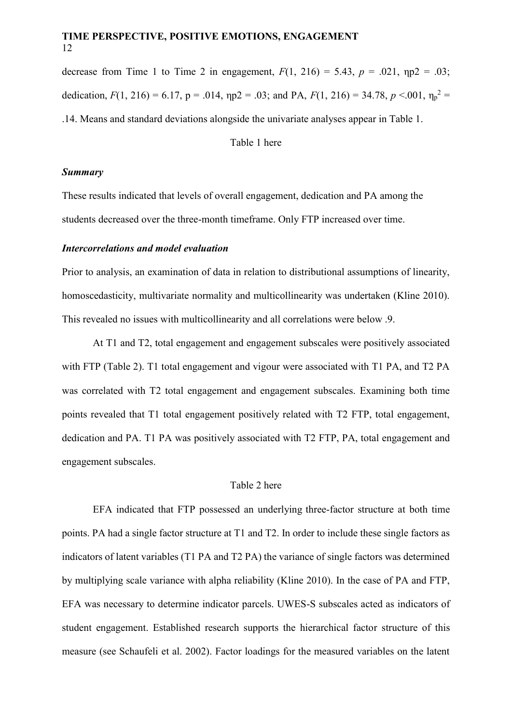decrease from Time 1 to Time 2 in engagement,  $F(1, 216) = 5.43$ ,  $p = .021$ ,  $np2 = .03$ ; dedication,  $F(1, 216) = 6.17$ ,  $p = .014$ ,  $np2 = .03$ ; and PA,  $F(1, 216) = 34.78$ ,  $p < .001$ ,  $\eta_p^2 =$ .14. Means and standard deviations alongside the univariate analyses appear in Table 1.

Table 1 here

#### *Summary*

These results indicated that levels of overall engagement, dedication and PA among the students decreased over the three-month timeframe. Only FTP increased over time.

#### *Intercorrelations and model evaluation*

Prior to analysis, an examination of data in relation to distributional assumptions of linearity, homoscedasticity, multivariate normality and multicollinearity was undertaken (Kline 2010). This revealed no issues with multicollinearity and all correlations were below .9.

At T1 and T2, total engagement and engagement subscales were positively associated with FTP (Table 2). T1 total engagement and vigour were associated with T1 PA, and T2 PA was correlated with T2 total engagement and engagement subscales. Examining both time points revealed that T1 total engagement positively related with T2 FTP, total engagement, dedication and PA. T1 PA was positively associated with T2 FTP, PA, total engagement and engagement subscales.

## Table 2 here

EFA indicated that FTP possessed an underlying three-factor structure at both time points. PA had a single factor structure at T1 and T2. In order to include these single factors as indicators of latent variables (T1 PA and T2 PA) the variance of single factors was determined by multiplying scale variance with alpha reliability (Kline 2010). In the case of PA and FTP, EFA was necessary to determine indicator parcels. UWES-S subscales acted as indicators of student engagement. Established research supports the hierarchical factor structure of this measure (see Schaufeli et al. 2002). Factor loadings for the measured variables on the latent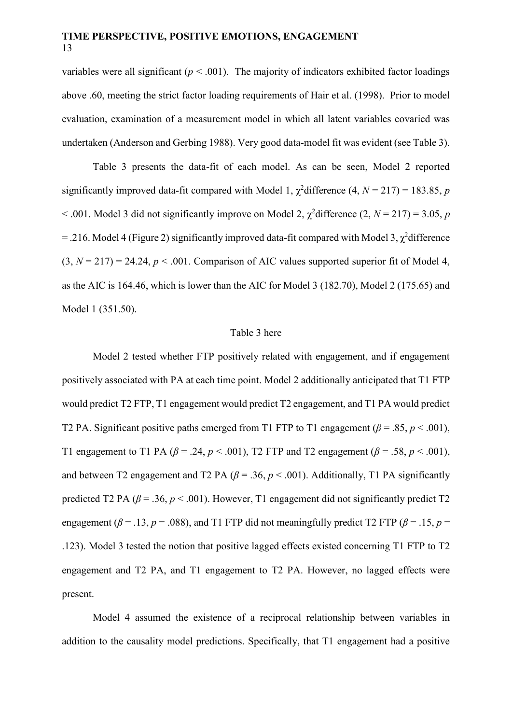variables were all significant ( $p < .001$ ). The majority of indicators exhibited factor loadings above .60, meeting the strict factor loading requirements of Hair et al. (1998). Prior to model evaluation, examination of a measurement model in which all latent variables covaried was undertaken (Anderson and Gerbing 1988). Very good data-model fit was evident (see Table 3).

Table 3 presents the data-fit of each model. As can be seen, Model 2 reported significantly improved data-fit compared with Model 1,  $\chi^2$ difference (4,  $N = 217$ ) = 183.85, *p*  $<$  0.01. Model 3 did not significantly improve on Model 2,  $\chi^2$  difference (2, *N* = 217) = 3.05, *p* = .216. Model 4 (Figure 2) significantly improved data-fit compared with Model 3,  $\chi^2$ difference  $(3, N = 217) = 24.24$ ,  $p < .001$ . Comparison of AIC values supported superior fit of Model 4, as the AIC is 164.46, which is lower than the AIC for Model 3 (182.70), Model 2 (175.65) and Model 1 (351.50).

#### Table 3 here

Model 2 tested whether FTP positively related with engagement, and if engagement positively associated with PA at each time point. Model 2 additionally anticipated that T1 FTP would predict T2 FTP, T1 engagement would predict T2 engagement, and T1 PA would predict T2 PA. Significant positive paths emerged from T1 FTP to T1 engagement ( $\beta$  = .85, *p* < .001), T1 engagement to T1 PA ( $\beta$  = .24,  $p$  < .001), T2 FTP and T2 engagement ( $\beta$  = .58,  $p$  < .001), and between T2 engagement and T2 PA ( $\beta$  = .36,  $p$  < .001). Additionally, T1 PA significantly predicted T2 PA ( $\beta$  = .36,  $p$  < .001). However, T1 engagement did not significantly predict T2 engagement ( $\beta$  = .13, *p* = .088), and T1 FTP did not meaningfully predict T2 FTP ( $\beta$  = .15, *p* = .123). Model 3 tested the notion that positive lagged effects existed concerning T1 FTP to T2 engagement and T2 PA, and T1 engagement to T2 PA. However, no lagged effects were present.

Model 4 assumed the existence of a reciprocal relationship between variables in addition to the causality model predictions. Specifically, that T1 engagement had a positive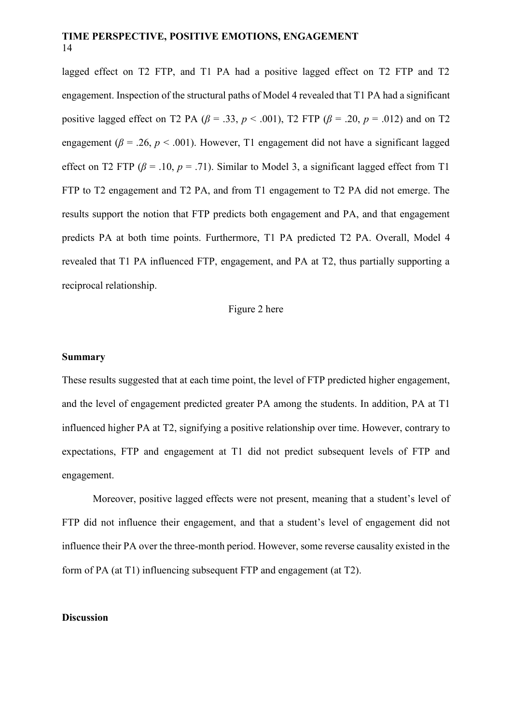lagged effect on T2 FTP, and T1 PA had a positive lagged effect on T2 FTP and T2 engagement. Inspection of the structural paths of Model 4 revealed that T1 PA had a significant positive lagged effect on T2 PA ( $\beta$  = .33,  $p$  < .001), T2 FTP ( $\beta$  = .20,  $p$  = .012) and on T2 engagement ( $\beta$  = .26,  $p$  < .001). However, T1 engagement did not have a significant lagged effect on T2 FTP ( $\beta$  = .10,  $p$  = .71). Similar to Model 3, a significant lagged effect from T1 FTP to T2 engagement and T2 PA, and from T1 engagement to T2 PA did not emerge. The results support the notion that FTP predicts both engagement and PA, and that engagement predicts PA at both time points. Furthermore, T1 PA predicted T2 PA. Overall, Model 4 revealed that T1 PA influenced FTP, engagement, and PA at T2, thus partially supporting a reciprocal relationship.

## Figure 2 here

#### **Summary**

These results suggested that at each time point, the level of FTP predicted higher engagement, and the level of engagement predicted greater PA among the students. In addition, PA at T1 influenced higher PA at T2, signifying a positive relationship over time. However, contrary to expectations, FTP and engagement at T1 did not predict subsequent levels of FTP and engagement.

Moreover, positive lagged effects were not present, meaning that a student's level of FTP did not influence their engagement, and that a student's level of engagement did not influence their PA over the three-month period. However, some reverse causality existed in the form of PA (at T1) influencing subsequent FTP and engagement (at T2).

## **Discussion**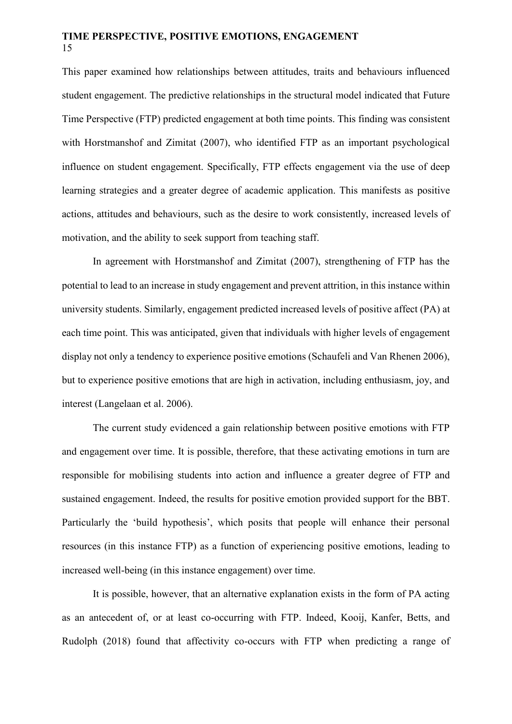This paper examined how relationships between attitudes, traits and behaviours influenced student engagement. The predictive relationships in the structural model indicated that Future Time Perspective (FTP) predicted engagement at both time points. This finding was consistent with Horstmanshof and Zimitat (2007), who identified FTP as an important psychological influence on student engagement. Specifically, FTP effects engagement via the use of deep learning strategies and a greater degree of academic application. This manifests as positive actions, attitudes and behaviours, such as the desire to work consistently, increased levels of motivation, and the ability to seek support from teaching staff.

In agreement with Horstmanshof and Zimitat (2007), strengthening of FTP has the potential to lead to an increase in study engagement and prevent attrition, in this instance within university students. Similarly, engagement predicted increased levels of positive affect (PA) at each time point. This was anticipated, given that individuals with higher levels of engagement display not only a tendency to experience positive emotions (Schaufeli and Van Rhenen 2006), but to experience positive emotions that are high in activation, including enthusiasm, joy, and interest (Langelaan et al. 2006).

The current study evidenced a gain relationship between positive emotions with FTP and engagement over time. It is possible, therefore, that these activating emotions in turn are responsible for mobilising students into action and influence a greater degree of FTP and sustained engagement. Indeed, the results for positive emotion provided support for the BBT. Particularly the 'build hypothesis', which posits that people will enhance their personal resources (in this instance FTP) as a function of experiencing positive emotions, leading to increased well-being (in this instance engagement) over time.

It is possible, however, that an alternative explanation exists in the form of PA acting as an antecedent of, or at least co-occurring with FTP. Indeed, Kooij, Kanfer, Betts, and Rudolph (2018) found that affectivity co-occurs with FTP when predicting a range of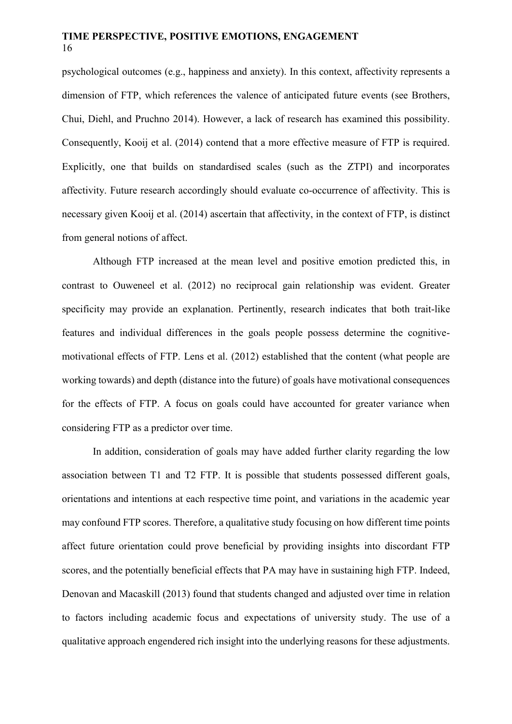psychological outcomes (e.g., happiness and anxiety). In this context, affectivity represents a dimension of FTP, which references the valence of anticipated future events (see Brothers, Chui, Diehl, and Pruchno 2014). However, a lack of research has examined this possibility. Consequently, Kooij et al. (2014) contend that a more effective measure of FTP is required. Explicitly, one that builds on standardised scales (such as the ZTPI) and incorporates affectivity. Future research accordingly should evaluate co-occurrence of affectivity. This is necessary given Kooij et al. (2014) ascertain that affectivity, in the context of FTP, is distinct from general notions of affect.

Although FTP increased at the mean level and positive emotion predicted this, in contrast to Ouweneel et al. (2012) no reciprocal gain relationship was evident. Greater specificity may provide an explanation. Pertinently, research indicates that both trait-like features and individual differences in the goals people possess determine the cognitivemotivational effects of FTP. Lens et al. (2012) established that the content (what people are working towards) and depth (distance into the future) of goals have motivational consequences for the effects of FTP. A focus on goals could have accounted for greater variance when considering FTP as a predictor over time.

In addition, consideration of goals may have added further clarity regarding the low association between T1 and T2 FTP. It is possible that students possessed different goals, orientations and intentions at each respective time point, and variations in the academic year may confound FTP scores. Therefore, a qualitative study focusing on how different time points affect future orientation could prove beneficial by providing insights into discordant FTP scores, and the potentially beneficial effects that PA may have in sustaining high FTP. Indeed, Denovan and Macaskill (2013) found that students changed and adjusted over time in relation to factors including academic focus and expectations of university study. The use of a qualitative approach engendered rich insight into the underlying reasons for these adjustments.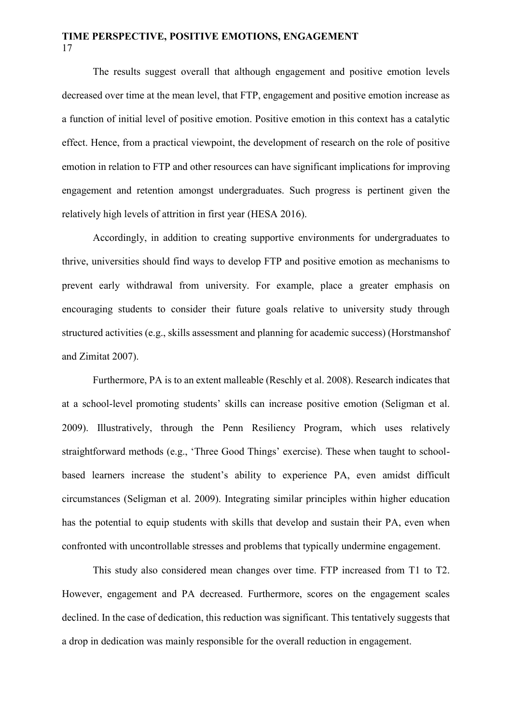The results suggest overall that although engagement and positive emotion levels decreased over time at the mean level, that FTP, engagement and positive emotion increase as a function of initial level of positive emotion. Positive emotion in this context has a catalytic effect. Hence, from a practical viewpoint, the development of research on the role of positive emotion in relation to FTP and other resources can have significant implications for improving engagement and retention amongst undergraduates. Such progress is pertinent given the relatively high levels of attrition in first year (HESA 2016).

Accordingly, in addition to creating supportive environments for undergraduates to thrive, universities should find ways to develop FTP and positive emotion as mechanisms to prevent early withdrawal from university. For example, place a greater emphasis on encouraging students to consider their future goals relative to university study through structured activities (e.g., skills assessment and planning for academic success) (Horstmanshof and Zimitat 2007).

Furthermore, PA is to an extent malleable (Reschly et al. 2008). Research indicates that at a school-level promoting students' skills can increase positive emotion (Seligman et al. 2009). Illustratively, through the Penn Resiliency Program, which uses relatively straightforward methods (e.g., 'Three Good Things' exercise). These when taught to schoolbased learners increase the student's ability to experience PA, even amidst difficult circumstances (Seligman et al. 2009). Integrating similar principles within higher education has the potential to equip students with skills that develop and sustain their PA, even when confronted with uncontrollable stresses and problems that typically undermine engagement.

This study also considered mean changes over time. FTP increased from T1 to T2. However, engagement and PA decreased. Furthermore, scores on the engagement scales declined. In the case of dedication, this reduction was significant. This tentatively suggests that a drop in dedication was mainly responsible for the overall reduction in engagement.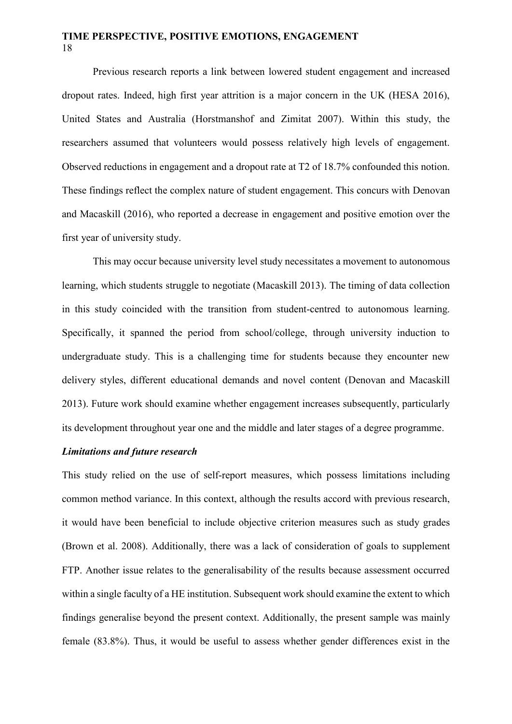Previous research reports a link between lowered student engagement and increased dropout rates. Indeed, high first year attrition is a major concern in the UK (HESA 2016), United States and Australia (Horstmanshof and Zimitat 2007). Within this study, the researchers assumed that volunteers would possess relatively high levels of engagement. Observed reductions in engagement and a dropout rate at T2 of 18.7% confounded this notion. These findings reflect the complex nature of student engagement. This concurs with Denovan and Macaskill (2016), who reported a decrease in engagement and positive emotion over the first year of university study.

This may occur because university level study necessitates a movement to autonomous learning, which students struggle to negotiate (Macaskill 2013). The timing of data collection in this study coincided with the transition from student-centred to autonomous learning. Specifically, it spanned the period from school/college, through university induction to undergraduate study. This is a challenging time for students because they encounter new delivery styles, different educational demands and novel content (Denovan and Macaskill 2013). Future work should examine whether engagement increases subsequently, particularly its development throughout year one and the middle and later stages of a degree programme.

## *Limitations and future research*

This study relied on the use of self-report measures, which possess limitations including common method variance. In this context, although the results accord with previous research, it would have been beneficial to include objective criterion measures such as study grades (Brown et al. 2008). Additionally, there was a lack of consideration of goals to supplement FTP. Another issue relates to the generalisability of the results because assessment occurred within a single faculty of a HE institution. Subsequent work should examine the extent to which findings generalise beyond the present context. Additionally, the present sample was mainly female (83.8%). Thus, it would be useful to assess whether gender differences exist in the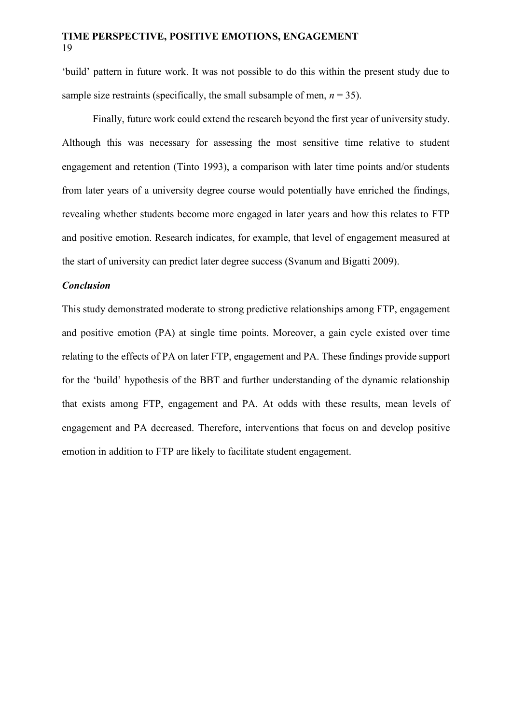'build' pattern in future work. It was not possible to do this within the present study due to sample size restraints (specifically, the small subsample of men,  $n = 35$ ).

Finally, future work could extend the research beyond the first year of university study. Although this was necessary for assessing the most sensitive time relative to student engagement and retention (Tinto 1993), a comparison with later time points and/or students from later years of a university degree course would potentially have enriched the findings, revealing whether students become more engaged in later years and how this relates to FTP and positive emotion. Research indicates, for example, that level of engagement measured at the start of university can predict later degree success (Svanum and Bigatti 2009).

#### *Conclusion*

This study demonstrated moderate to strong predictive relationships among FTP, engagement and positive emotion (PA) at single time points. Moreover, a gain cycle existed over time relating to the effects of PA on later FTP, engagement and PA. These findings provide support for the 'build' hypothesis of the BBT and further understanding of the dynamic relationship that exists among FTP, engagement and PA. At odds with these results, mean levels of engagement and PA decreased. Therefore, interventions that focus on and develop positive emotion in addition to FTP are likely to facilitate student engagement.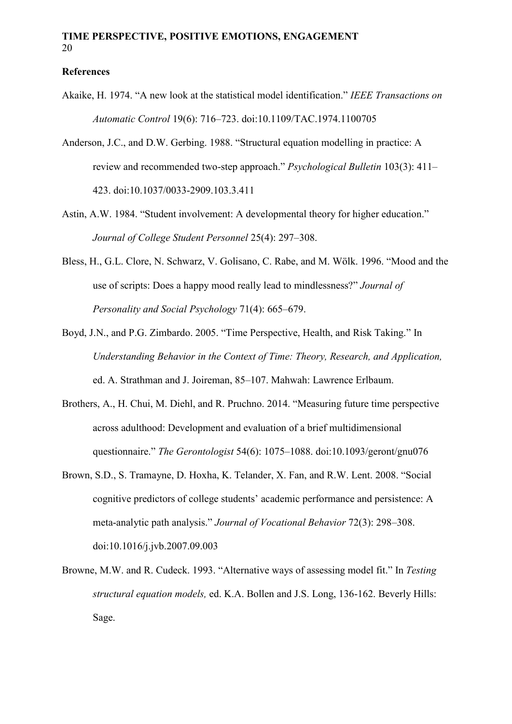## **References**

- Akaike, H. 1974. "A new look at the statistical model identification." *IEEE Transactions on Automatic Control* 19(6): 716–723. doi:10.1109/TAC.1974.1100705
- Anderson, J.C., and D.W. Gerbing. 1988. "Structural equation modelling in practice: A review and recommended two-step approach." *Psychological Bulletin* 103(3): 411– 423. doi:10.1037/0033-2909.103.3.411
- Astin, A.W. 1984. "Student involvement: A developmental theory for higher education." *Journal of College Student Personnel* 25(4): 297–308.
- Bless, H., G.L. Clore, N. Schwarz, V. Golisano, C. Rabe, and M. Wölk. 1996. "Mood and the use of scripts: Does a happy mood really lead to mindlessness?" *Journal of Personality and Social Psychology* 71(4): 665–679.
- Boyd, J.N., and P.G. Zimbardo. 2005. "Time Perspective, Health, and Risk Taking." In *Understanding Behavior in the Context of Time: Theory, Research, and Application,*  ed. A. Strathman and J. Joireman, 85–107. Mahwah: Lawrence Erlbaum.
- Brothers, A., H. Chui, M. Diehl, and R. Pruchno. 2014. "Measuring future time perspective across adulthood: Development and evaluation of a brief multidimensional questionnaire." *The Gerontologist* 54(6): 1075–1088. doi:10.1093/geront/gnu076
- Brown, S.D., S. Tramayne, D. Hoxha, K. Telander, X. Fan, and R.W. Lent. 2008. "Social cognitive predictors of college students' academic performance and persistence: A meta-analytic path analysis." *Journal of Vocational Behavior* 72(3): 298–308. doi:10.1016/j.jvb.2007.09.003
- Browne, M.W. and R. Cudeck. 1993. "Alternative ways of assessing model fit." In *Testing structural equation models,* ed. K.A. Bollen and J.S. Long, 136-162. Beverly Hills: Sage.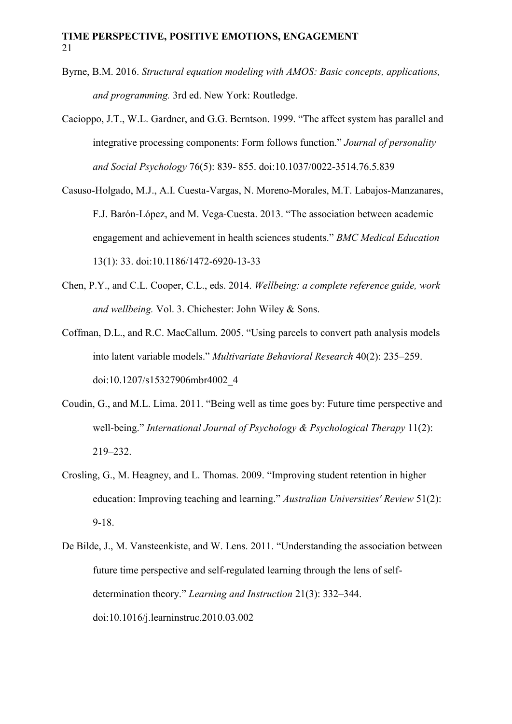- Byrne, B.M. 2016. *Structural equation modeling with AMOS: Basic concepts, applications, and programming.* 3rd ed. New York: Routledge.
- Cacioppo, J.T., W.L. Gardner, and G.G. Berntson. 1999. "The affect system has parallel and integrative processing components: Form follows function." *Journal of personality and Social Psychology* 76(5): 839- 855. doi:10.1037/0022-3514.76.5.839
- Casuso-Holgado, M.J., A.I. Cuesta-Vargas, N. Moreno-Morales, M.T. Labajos-Manzanares, F.J. Barón-López, and M. Vega-Cuesta. 2013. "The association between academic engagement and achievement in health sciences students." *BMC Medical Education* 13(1): 33. doi:10.1186/1472-6920-13-33
- Chen, P.Y., and C.L. Cooper, C.L., eds. 2014. *Wellbeing: a complete reference guide, work and wellbeing.* Vol. 3. Chichester: John Wiley & Sons.
- Coffman, D.L., and R.C. MacCallum. 2005. "Using parcels to convert path analysis models into latent variable models." *Multivariate Behavioral Research* 40(2): 235–259. doi:10.1207/s15327906mbr4002\_4
- Coudin, G., and M.L. Lima. 2011. "Being well as time goes by: Future time perspective and well-being." *International Journal of Psychology & Psychological Therapy* 11(2): 219–232.
- Crosling, G., M. Heagney, and L. Thomas. 2009. "Improving student retention in higher education: Improving teaching and learning." *Australian Universities' Review* 51(2): 9-18.
- De Bilde, J., M. Vansteenkiste, and W. Lens. 2011. "Understanding the association between future time perspective and self-regulated learning through the lens of selfdetermination theory." *Learning and Instruction* 21(3): 332–344. doi:10.1016/j.learninstruc.2010.03.002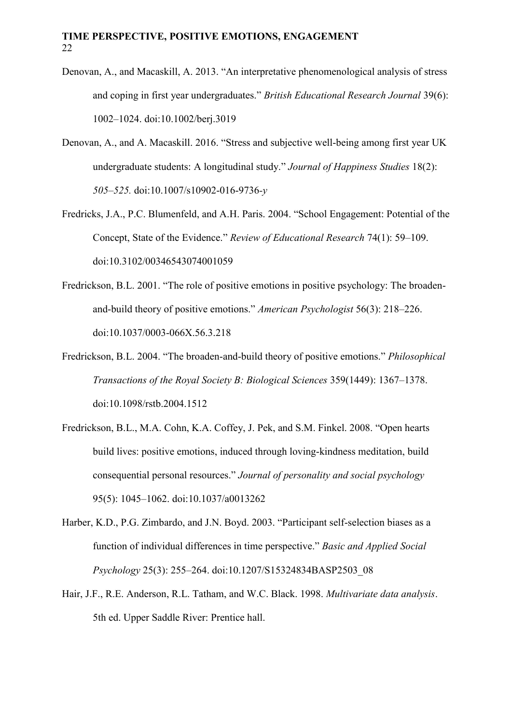- Denovan, A., and Macaskill, A. 2013. "An interpretative phenomenological analysis of stress and coping in first year undergraduates." *British Educational Research Journal* 39(6): 1002–1024. doi:10.1002/berj.3019
- Denovan, A., and A. Macaskill. 2016. "Stress and subjective well-being among first year UK undergraduate students: A longitudinal study." *Journal of Happiness Studies* 18(2): *505–525.* doi:10.1007/s10902-016-9736*-y*
- Fredricks, J.A., P.C. Blumenfeld, and A.H. Paris. 2004. "School Engagement: Potential of the Concept, State of the Evidence." *Review of Educational Research* 74(1): 59–109. doi:10.3102/00346543074001059
- Fredrickson, B.L. 2001. "The role of positive emotions in positive psychology: The broadenand-build theory of positive emotions." *American Psychologist* 56(3): 218–226. doi:10.1037/0003-066X.56.3.218
- Fredrickson, B.L. 2004. "The broaden-and-build theory of positive emotions." *Philosophical Transactions of the Royal Society B: Biological Sciences* 359(1449): 1367–1378. doi:10.1098/rstb.2004.1512
- Fredrickson, B.L., M.A. Cohn, K.A. Coffey, J. Pek, and S.M. Finkel. 2008. "Open hearts build lives: positive emotions, induced through loving-kindness meditation, build consequential personal resources." *Journal of personality and social psychology* 95(5): 1045–1062. doi:10.1037/a0013262
- Harber, K.D., P.G. Zimbardo, and J.N. Boyd. 2003. "Participant self-selection biases as a function of individual differences in time perspective." *Basic and Applied Social Psychology* 25(3): 255–264. doi:10.1207/S15324834BASP2503\_08
- Hair, J.F., R.E. Anderson, R.L. Tatham, and W.C. Black. 1998. *Multivariate data analysis*. 5th ed. Upper Saddle River: Prentice hall.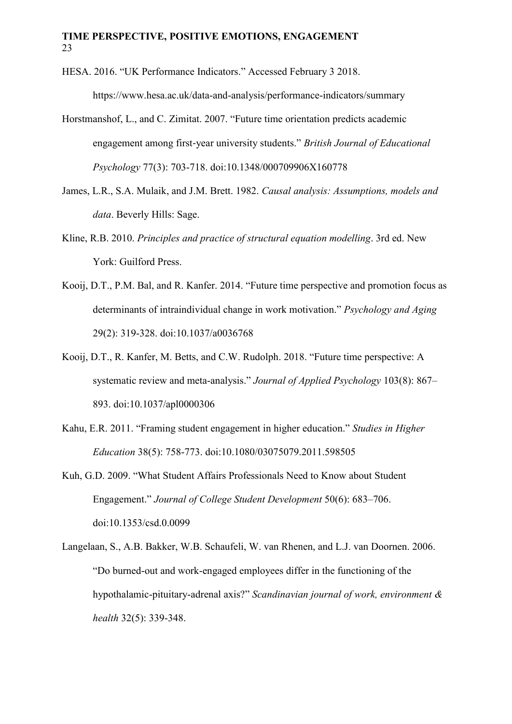- HESA. 2016. "UK Performance Indicators." Accessed February 3 2018. <https://www.hesa.ac.uk/data-and-analysis/performance-indicators/summary>
- Horstmanshof, L., and C. Zimitat. 2007. "Future time orientation predicts academic engagement among first‐year university students." *British Journal of Educational Psychology* 77(3): 703-718. doi:10.1348/000709906X160778
- James, L.R., S.A. Mulaik, and J.M. Brett. 1982. *Causal analysis: Assumptions, models and data*. Beverly Hills: Sage.
- Kline, R.B. 2010. *Principles and practice of structural equation modelling*. 3rd ed. New York: Guilford Press.
- Kooij, D.T., P.M. Bal, and R. Kanfer. 2014. "Future time perspective and promotion focus as determinants of intraindividual change in work motivation." *Psychology and Aging*  29(2): 319-328. doi:10.1037/a0036768
- Kooij, D.T., R. Kanfer, M. Betts, and C.W. Rudolph. 2018. "Future time perspective: A systematic review and meta-analysis." *Journal of Applied Psychology* 103(8): 867– 893. doi:10.1037/apl0000306
- Kahu, E.R. 2011. "Framing student engagement in higher education." *Studies in Higher Education* 38(5): 758-773. doi:10.1080/03075079.2011.598505
- Kuh, G.D. 2009. "What Student Affairs Professionals Need to Know about Student Engagement." *Journal of College Student Development* 50(6): 683–706. doi:10.1353/csd.0.0099
- Langelaan, S., A.B. Bakker, W.B. Schaufeli, W. van Rhenen, and L.J. van Doornen. 2006. "Do burned-out and work-engaged employees differ in the functioning of the hypothalamic-pituitary-adrenal axis?" *Scandinavian journal of work, environment & health* 32(5): 339-348.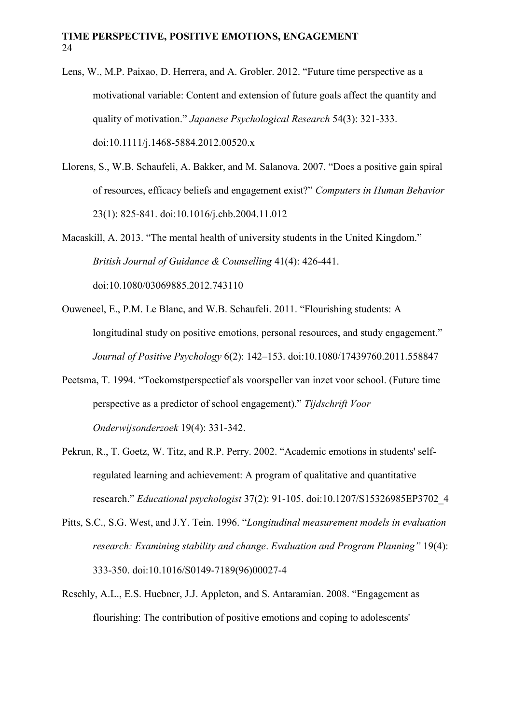- Lens, W., M.P. Paixao, D. Herrera, and A. Grobler. 2012. "Future time perspective as a motivational variable: Content and extension of future goals affect the quantity and quality of motivation." *Japanese Psychological Research* 54(3): 321-333. doi:10.1111/j.1468-5884.2012.00520.x
- Llorens, S., W.B. Schaufeli, A. Bakker, and M. Salanova. 2007. "Does a positive gain spiral of resources, efficacy beliefs and engagement exist?" *Computers in Human Behavior*  23(1): 825-841. doi:10.1016/j.chb.2004.11.012

Macaskill, A. 2013. "The mental health of university students in the United Kingdom." *British Journal of Guidance & Counselling* 41(4): 426-441. doi:10.1080/03069885.2012.743110

Ouweneel, E., P.M. Le Blanc, and W.B. Schaufeli. 2011. "Flourishing students: A longitudinal study on positive emotions, personal resources, and study engagement." *Journal of Positive Psychology* 6(2): 142–153. doi:10.1080/17439760.2011.558847

- Peetsma, T. 1994. "Toekomstperspectief als voorspeller van inzet voor school. (Future time perspective as a predictor of school engagement)." *Tijdschrift Voor Onderwijsonderzoek* 19(4): 331-342.
- Pekrun, R., T. Goetz, W. Titz, and R.P. Perry. 2002. "Academic emotions in students' selfregulated learning and achievement: A program of qualitative and quantitative research." *Educational psychologist* 37(2): 91-105. doi:10.1207/S15326985EP3702\_4
- Pitts, S.C., S.G. West, and J.Y. Tein. 1996. "*Longitudinal measurement models in evaluation research: Examining stability and change*. *Evaluation and Program Planning"* 19(4): 333-350. doi:10.1016/S0149-7189(96)00027-4
- Reschly, A.L., E.S. Huebner, J.J. Appleton, and S. Antaramian. 2008. "Engagement as flourishing: The contribution of positive emotions and coping to adolescents'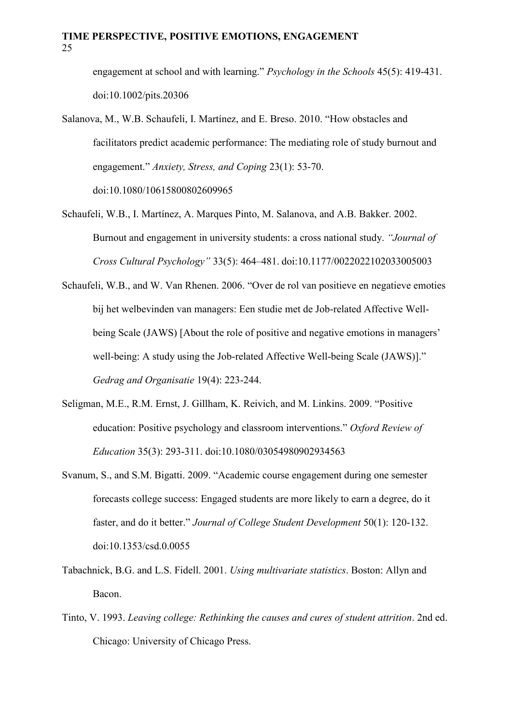engagement at school and with learning." *Psychology in the Schools* 45(5): 419-431. doi:10.1002/pits.20306

- Salanova, M., W.B. Schaufeli, I. Martínez, and E. Breso. 2010. "How obstacles and facilitators predict academic performance: The mediating role of study burnout and engagement." *Anxiety, Stress, and Coping* 23(1): 53-70. doi:10.1080/10615800802609965
- Schaufeli, W.B., I. Martínez, A. Marques Pinto, M. Salanova, and A.B. Bakker. 2002. Burnout and engagement in university students: a cross national study. *"Journal of Cross Cultural Psychology"* 33(5): 464–481. doi:10.1177/0022022102033005003
- Schaufeli, W.B., and W. Van Rhenen. 2006. "Over de rol van positieve en negatieve emoties bij het welbevinden van managers: Een studie met de Job-related Affective Wellbeing Scale (JAWS) [About the role of positive and negative emotions in managers' well-being: A study using the Job-related Affective Well-being Scale (JAWS)]." *Gedrag and Organisatie* 19(4): 223-244.
- Seligman, M.E., R.M. Ernst, J. Gillham, K. Reivich, and M. Linkins. 2009. "Positive education: Positive psychology and classroom interventions." *Oxford Review of Education* 35(3): 293-311. doi:10.1080/03054980902934563
- Svanum, S., and S.M. Bigatti. 2009. "Academic course engagement during one semester forecasts college success: Engaged students are more likely to earn a degree, do it faster, and do it better." *Journal of College Student Development* 50(1): 120-132. doi:10.1353/csd.0.0055
- Tabachnick, B.G. and L.S. Fidell. 2001. *Using multivariate statistics*. Boston: Allyn and Bacon.
- Tinto, V. 1993. *Leaving college: Rethinking the causes and cures of student attrition*. 2nd ed. Chicago: University of Chicago Press.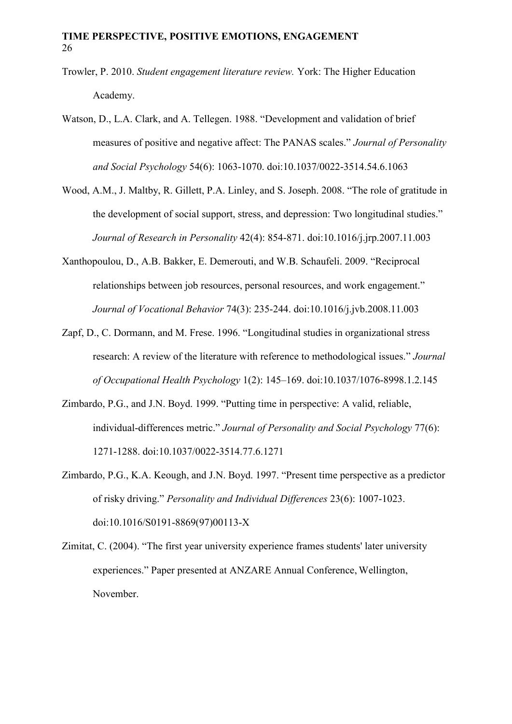- Trowler, P. 2010. *Student engagement literature review.* York: The Higher Education Academy.
- Watson, D., L.A. Clark, and A. Tellegen. 1988. "Development and validation of brief measures of positive and negative affect: The PANAS scales." *Journal of Personality and Social Psychology* 54(6): 1063-1070. doi:10.1037/0022-3514.54.6.1063
- Wood, A.M., J. Maltby, R. Gillett, P.A. Linley, and S. Joseph. 2008. "The role of gratitude in the development of social support, stress, and depression: Two longitudinal studies." *Journal of Research in Personality* 42(4): 854-871. doi:10.1016/j.jrp.2007.11.003
- Xanthopoulou, D., A.B. Bakker, E. Demerouti, and W.B. Schaufeli. 2009. "Reciprocal relationships between job resources, personal resources, and work engagement." *Journal of Vocational Behavior* 74(3): 235-244. doi:10.1016/j.jvb.2008.11.003
- Zapf, D., C. Dormann, and M. Frese. 1996. "Longitudinal studies in organizational stress research: A review of the literature with reference to methodological issues." *Journal of Occupational Health Psychology* 1(2): 145–169. doi:10.1037/1076-8998.1.2.145
- Zimbardo, P.G., and J.N. Boyd. 1999. "Putting time in perspective: A valid, reliable, individual-differences metric." *Journal of Personality and Social Psychology* 77(6): 1271-1288. doi:10.1037/0022-3514.77.6.1271
- Zimbardo, P.G., K.A. Keough, and J.N. Boyd. 1997. "Present time perspective as a predictor of risky driving." *Personality and Individual Differences* 23(6): 1007-1023. doi:10.1016/S0191-8869(97)00113-X
- Zimitat, C. (2004). "The first year university experience frames students' later university experiences." Paper presented at ANZARE Annual Conference, Wellington, November.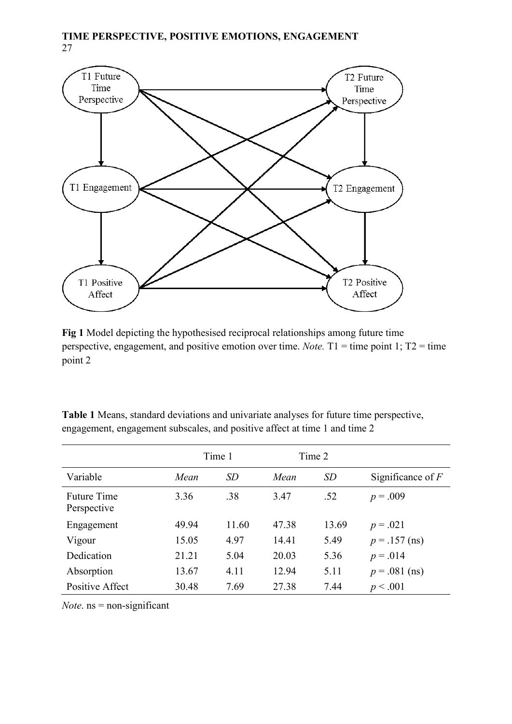

**Fig 1** Model depicting the hypothesised reciprocal relationships among future time perspective, engagement, and positive emotion over time. *Note.* T1 = time point 1; T2 = time point 2

**Table 1** Means, standard deviations and univariate analyses for future time perspective, engagement, engagement subscales, and positive affect at time 1 and time 2

|                                   | Time 1 |       | Time 2 |       |                     |
|-----------------------------------|--------|-------|--------|-------|---------------------|
| Variable                          | Mean   | SD    | Mean   | SD    | Significance of $F$ |
| <b>Future Time</b><br>Perspective | 3.36   | .38   | 3.47   | .52   | $p = .009$          |
| Engagement                        | 49.94  | 11.60 | 47.38  | 13.69 | $p = .021$          |
| Vigour                            | 15.05  | 4.97  | 14.41  | 5.49  | $p = .157$ (ns)     |
| Dedication                        | 21.21  | 5.04  | 20.03  | 5.36  | $p = .014$          |
| Absorption                        | 13.67  | 4.11  | 12.94  | 5.11  | $p = .081$ (ns)     |
| Positive Affect                   | 30.48  | 7.69  | 27.38  | 7.44  | p < .001            |

*Note*. ns = non-significant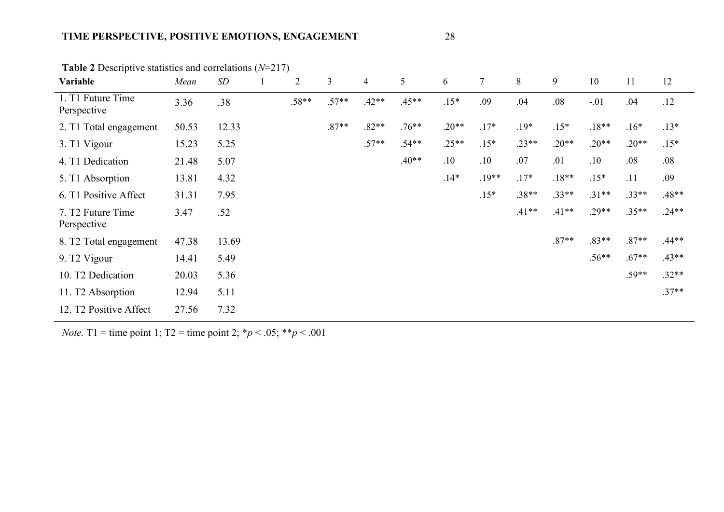| Variable                                     | Mean  | SD    | $\overline{2}$ | 3       | 4       | 5       | 6       | $\tau$  | 8       | 9       | 10      | 11      | 12      |
|----------------------------------------------|-------|-------|----------------|---------|---------|---------|---------|---------|---------|---------|---------|---------|---------|
| 1. T1 Future Time<br>Perspective             | 3.36  | .38   | $.58**$        | $.57**$ | $.42**$ | $.45**$ | $.15*$  | .09     | .04     | .08     | $-.01$  | .04     | .12     |
| 2. T1 Total engagement                       | 50.53 | 12.33 |                | $.87**$ | $.82**$ | $.76**$ | $.20**$ | $.17*$  | $.19*$  | $.15*$  | $.18**$ | $.16*$  | $.13*$  |
| 3. T1 Vigour                                 | 15.23 | 5.25  |                |         | $.57**$ | $.54**$ | $.25**$ | $.15*$  | $.23**$ | $.20**$ | $.20**$ | $.20**$ | $.15*$  |
| 4. T1 Dedication                             | 21.48 | 5.07  |                |         |         | $.40**$ | .10     | .10     | .07     | .01     | .10     | .08     | .08     |
| 5. T1 Absorption                             | 13.81 | 4.32  |                |         |         |         | $.14*$  | $.19**$ | $.17*$  | $.18**$ | $.15*$  | .11     | .09     |
| 6. T1 Positive Affect                        | 31.31 | 7.95  |                |         |         |         |         | $.15*$  | $.38**$ | $.33**$ | $.31**$ | $.33**$ | $.48**$ |
| 7. T <sub>2</sub> Future Time<br>Perspective | 3.47  | .52   |                |         |         |         |         |         | $.41**$ | $.41**$ | $.29**$ | $.35**$ | $.24**$ |
| 8. T <sub>2</sub> Total engagement           | 47.38 | 13.69 |                |         |         |         |         |         |         | $.87**$ | $.83**$ | $.87**$ | $.44**$ |
| 9. T <sub>2</sub> Vigour                     | 14.41 | 5.49  |                |         |         |         |         |         |         |         | $.56**$ | $.67**$ | $.43**$ |
| 10. T2 Dedication                            | 20.03 | 5.36  |                |         |         |         |         |         |         |         |         | $.59**$ | $.32**$ |
| 11. T <sub>2</sub> Absorption                | 12.94 | 5.11  |                |         |         |         |         |         |         |         |         |         | $.37**$ |
| 12. T2 Positive Affect                       | 27.56 | 7.32  |                |         |         |         |         |         |         |         |         |         |         |

**Table 2** Descriptive statistics and correlations (*N*=217)

*Note.* T1 = time point 1; T2 = time point 2;  $*p < .05$ ;  $**p < .001$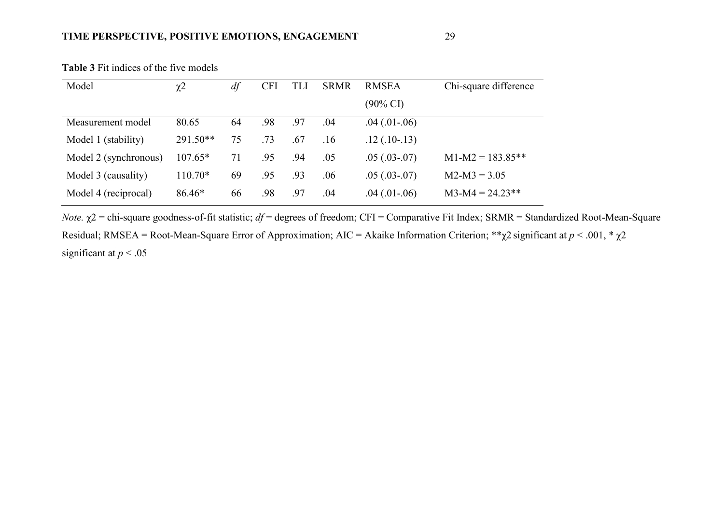| Model                 | $\chi^2$   | df | <b>CFI</b> | TLI | <b>SRMR</b> | <b>RMSEA</b>        | Chi-square difference |  |
|-----------------------|------------|----|------------|-----|-------------|---------------------|-----------------------|--|
|                       |            |    |            |     |             | $(90\% \text{ CI})$ |                       |  |
| Measurement model     | 80.65      | 64 | .98        | .97 | .04         | $.04$ $(.01-.06)$   |                       |  |
| Model 1 (stability)   | $291.50**$ | 75 | .73        | .67 | .16         | $.12(.10-.13)$      |                       |  |
| Model 2 (synchronous) | $107.65*$  | 71 | .95        | .94 | .05         | $.05(.03-.07)$      | $M1-M2 = 183.85**$    |  |
| Model 3 (causality)   | $110.70*$  | 69 | .95        | .93 | .06         | $.05(.03-.07)$      | $M2-M3 = 3.05$        |  |
| Model 4 (reciprocal)  | $86.46*$   | 66 | .98        | .97 | .04         | $.04$ $(.01-.06)$   | $M3-M4 = 24.23**$     |  |

**Table 3** Fit indices of the five models

*Note.*  $\chi$ 2 = chi-square goodness-of-fit statistic; *df* = degrees of freedom; CFI = Comparative Fit Index; SRMR = Standardized Root-Mean-Square Residual; RMSEA = Root-Mean-Square Error of Approximation; AIC = Akaike Information Criterion; \*\*χ2 significant at *p* < .001, \* χ2 significant at  $p < .05$